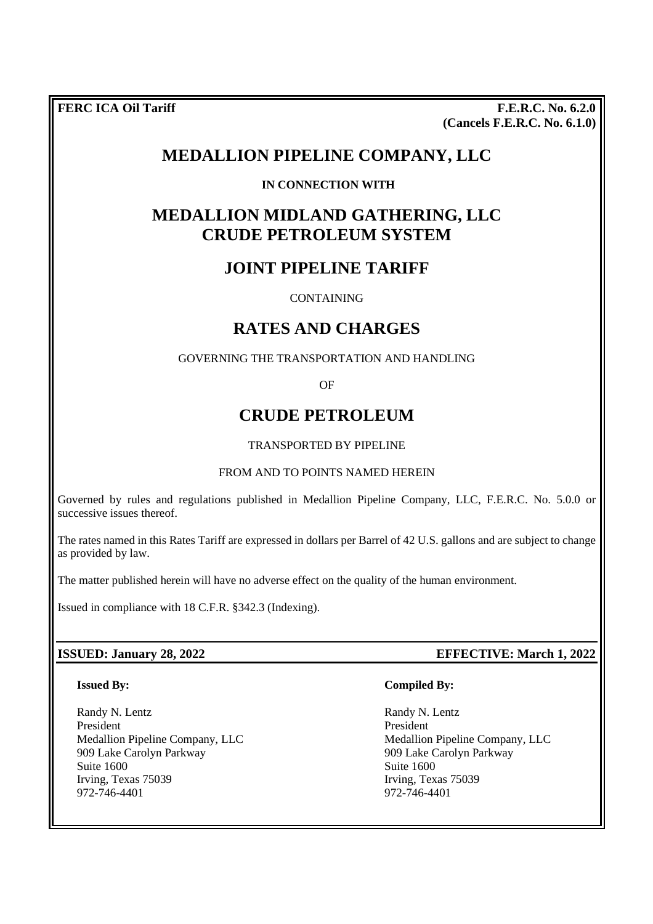**FERC ICA Oil Tariff** F.E.R.C. No. 6.2.0 **(Cancels F.E.R.C. No. 6.1.0)**

# **MEDALLION PIPELINE COMPANY, LLC**

# **IN CONNECTION WITH**

# **MEDALLION MIDLAND GATHERING, LLC CRUDE PETROLEUM SYSTEM**

# **JOINT PIPELINE TARIFF**

CONTAINING

# **RATES AND CHARGES**

GOVERNING THE TRANSPORTATION AND HANDLING

OF

# **CRUDE PETROLEUM**

## TRANSPORTED BY PIPELINE

#### FROM AND TO POINTS NAMED HEREIN

Governed by rules and regulations published in Medallion Pipeline Company, LLC, F.E.R.C. No. 5.0.0 or successive issues thereof.

The rates named in this Rates Tariff are expressed in dollars per Barrel of 42 U.S. gallons and are subject to change as provided by law.

The matter published herein will have no adverse effect on the quality of the human environment.

Issued in compliance with 18 C.F.R. §342.3 (Indexing).

#### **ISSUED: January 28, 2022 EFFECTIVE: March 1, 2022**

#### **Issued By:**

Randy N. Lentz President Medallion Pipeline Company, LLC 909 Lake Carolyn Parkway Suite 1600 Irving, Texas 75039 972-746-4401

#### **Compiled By:**

Randy N. Lentz President Medallion Pipeline Company, LLC 909 Lake Carolyn Parkway Suite 1600 Irving, Texas 75039 972-746-4401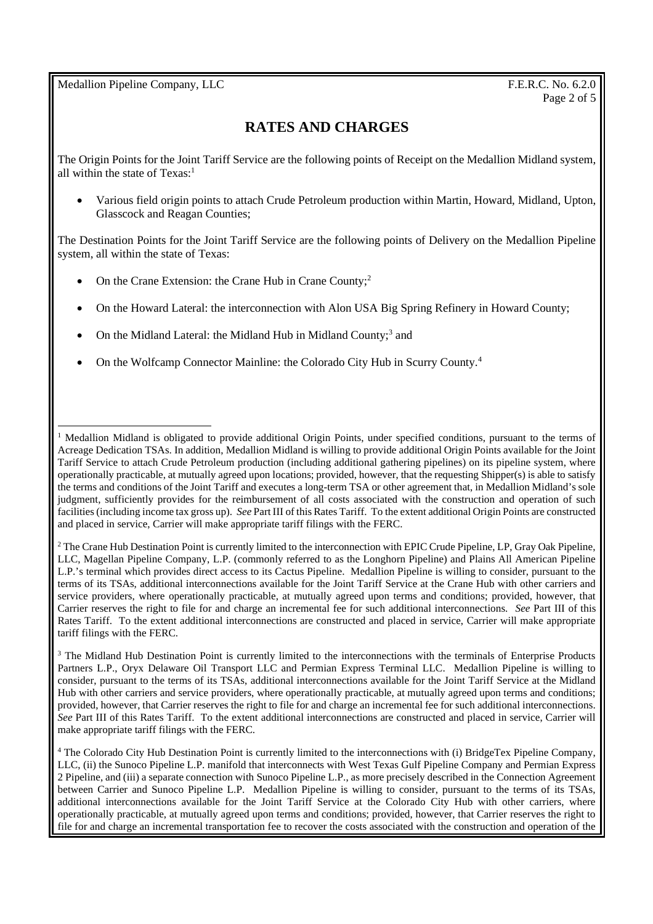Medallion Pipeline Company, LLC **F.E.R.C.** No. 6.2.0

# **RATES AND CHARGES**

The Origin Points for the Joint Tariff Service are the following points of Receipt on the Medallion Midland system, all within the state of  $Texas<sup>1</sup>$ 

 Various field origin points to attach Crude Petroleum production within Martin, Howard, Midland, Upton, Glasscock and Reagan Counties;

The Destination Points for the Joint Tariff Service are the following points of Delivery on the Medallion Pipeline system, all within the state of Texas:

- On the Crane Extension: the Crane Hub in Crane County;<sup>2</sup>
- On the Howard Lateral: the interconnection with Alon USA Big Spring Refinery in Howard County;
- On the Midland Lateral: the Midland Hub in Midland County;<sup>3</sup> and
- On the Wolfcamp Connector Mainline: the Colorado City Hub in Scurry County.<sup>4</sup>

<sup>2</sup> The Crane Hub Destination Point is currently limited to the interconnection with EPIC Crude Pipeline, LP, Gray Oak Pipeline, LLC, Magellan Pipeline Company, L.P. (commonly referred to as the Longhorn Pipeline) and Plains All American Pipeline L.P.'s terminal which provides direct access to its Cactus Pipeline. Medallion Pipeline is willing to consider, pursuant to the terms of its TSAs, additional interconnections available for the Joint Tariff Service at the Crane Hub with other carriers and service providers, where operationally practicable, at mutually agreed upon terms and conditions; provided, however, that Carrier reserves the right to file for and charge an incremental fee for such additional interconnections. *See* Part III of this Rates Tariff. To the extent additional interconnections are constructed and placed in service, Carrier will make appropriate tariff filings with the FERC.

<sup>3</sup> The Midland Hub Destination Point is currently limited to the interconnections with the terminals of Enterprise Products Partners L.P., Oryx Delaware Oil Transport LLC and Permian Express Terminal LLC. Medallion Pipeline is willing to consider, pursuant to the terms of its TSAs, additional interconnections available for the Joint Tariff Service at the Midland Hub with other carriers and service providers, where operationally practicable, at mutually agreed upon terms and conditions; provided, however, that Carrier reserves the right to file for and charge an incremental fee for such additional interconnections. *See* Part III of this Rates Tariff. To the extent additional interconnections are constructed and placed in service, Carrier will make appropriate tariff filings with the FERC.

<sup>1</sup> Medallion Midland is obligated to provide additional Origin Points, under specified conditions, pursuant to the terms of Acreage Dedication TSAs. In addition, Medallion Midland is willing to provide additional Origin Points available for the Joint Tariff Service to attach Crude Petroleum production (including additional gathering pipelines) on its pipeline system, where operationally practicable, at mutually agreed upon locations; provided, however, that the requesting Shipper(s) is able to satisfy the terms and conditions of the Joint Tariff and executes a long-term TSA or other agreement that, in Medallion Midland's sole judgment, sufficiently provides for the reimbursement of all costs associated with the construction and operation of such facilities (including income tax gross up). *See* Part III of this Rates Tariff. To the extent additional Origin Points are constructed and placed in service, Carrier will make appropriate tariff filings with the FERC.

<sup>4</sup> The Colorado City Hub Destination Point is currently limited to the interconnections with (i) BridgeTex Pipeline Company, LLC, (ii) the Sunoco Pipeline L.P. manifold that interconnects with West Texas Gulf Pipeline Company and Permian Express 2 Pipeline, and (iii) a separate connection with Sunoco Pipeline L.P., as more precisely described in the Connection Agreement between Carrier and Sunoco Pipeline L.P. Medallion Pipeline is willing to consider, pursuant to the terms of its TSAs, additional interconnections available for the Joint Tariff Service at the Colorado City Hub with other carriers, where operationally practicable, at mutually agreed upon terms and conditions; provided, however, that Carrier reserves the right to file for and charge an incremental transportation fee to recover the costs associated with the construction and operation of the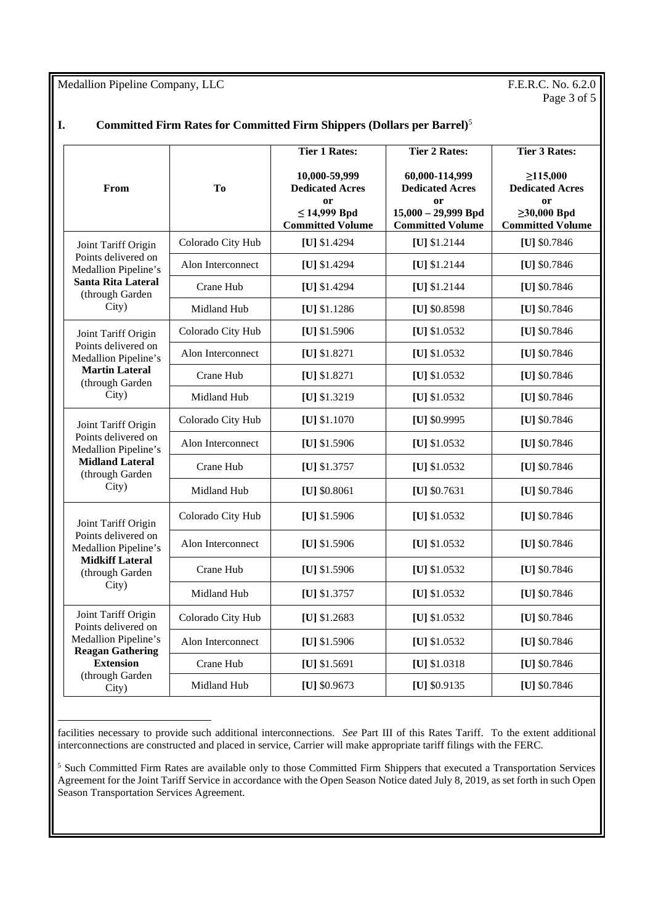Medallion Pipeline Company, LLC F.E.R.C. No. 6.2.0

# Page 3 of 5

### **I. Committed Firm Rates for Committed Firm Shippers (Dollars per Barrel)**<sup>5</sup>

|                                                                                                                                               |                   | <b>Tier 1 Rates:</b>                                                                                     | <b>Tier 2 Rates:</b>                                                                               | <b>Tier 3 Rates:</b>                                                                                  |
|-----------------------------------------------------------------------------------------------------------------------------------------------|-------------------|----------------------------------------------------------------------------------------------------------|----------------------------------------------------------------------------------------------------|-------------------------------------------------------------------------------------------------------|
| From                                                                                                                                          | To                | 10,000-59,999<br><b>Dedicated Acres</b><br><sub>or</sub><br>$\leq$ 14,999 Bpd<br><b>Committed Volume</b> | 60,000-114,999<br><b>Dedicated Acres</b><br>or<br>$15,000 - 29,999$ Bpd<br><b>Committed Volume</b> | $\geq 115,000$<br><b>Dedicated Acres</b><br><b>or</b><br>$\geq 30,000$ Bpd<br><b>Committed Volume</b> |
| Joint Tariff Origin<br>Points delivered on<br>Medallion Pipeline's<br><b>Santa Rita Lateral</b><br>(through Garden<br>City)                   | Colorado City Hub | [U] \$1.4294                                                                                             | [U] \$1.2144                                                                                       | [U] \$0.7846                                                                                          |
|                                                                                                                                               | Alon Interconnect | [U] \$1.4294                                                                                             | [U] \$1.2144                                                                                       | [U] \$0.7846                                                                                          |
|                                                                                                                                               | Crane Hub         | [U] \$1.4294                                                                                             | [U] \$1.2144                                                                                       | [U] \$0.7846                                                                                          |
|                                                                                                                                               | Midland Hub       | [U] $$1.1286$                                                                                            | [U] \$0.8598                                                                                       | [U] \$0.7846                                                                                          |
| Joint Tariff Origin<br>Points delivered on<br>Medallion Pipeline's<br><b>Martin Lateral</b><br>(through Garden                                | Colorado City Hub | [U] \$1.5906                                                                                             | [U] $$1.0532$                                                                                      | [U] \$0.7846                                                                                          |
|                                                                                                                                               | Alon Interconnect | [U] $$1.8271$                                                                                            | [U] $$1.0532$                                                                                      | [U] $$0.7846$                                                                                         |
|                                                                                                                                               | Crane Hub         | [U] \$1.8271                                                                                             | [U] \$1.0532                                                                                       | [U] \$0.7846                                                                                          |
| City)                                                                                                                                         | Midland Hub       | $[U]$ \$1.3219                                                                                           | [U] $$1.0532$                                                                                      | [U] $$0.7846$                                                                                         |
| Joint Tariff Origin                                                                                                                           | Colorado City Hub | [U] \$1.1070                                                                                             | [U] \$0.9995                                                                                       | [U] \$0.7846                                                                                          |
| Points delivered on<br>Medallion Pipeline's                                                                                                   | Alon Interconnect | [U] \$1.5906                                                                                             | [U] \$1.0532                                                                                       | [U] \$0.7846                                                                                          |
| <b>Midland Lateral</b><br>(through Garden                                                                                                     | Crane Hub         | [U] \$1.3757                                                                                             | [U] $$1.0532$                                                                                      | [U] \$0.7846                                                                                          |
| City)                                                                                                                                         | Midland Hub       | [U] $$0.8061$                                                                                            | [U] $$0.7631$                                                                                      | [U] \$0.7846                                                                                          |
| Joint Tariff Origin                                                                                                                           | Colorado City Hub | [U] $$1.5906$                                                                                            | [U] $$1.0532$                                                                                      | [U] $$0.7846$                                                                                         |
| Points delivered on<br>Medallion Pipeline's                                                                                                   | Alon Interconnect | [U] \$1.5906                                                                                             | [U] $$1.0532$                                                                                      | [U] \$0.7846                                                                                          |
| <b>Midkiff Lateral</b><br>(through Garden                                                                                                     | Crane Hub         | [U] \$1.5906                                                                                             | [U] $$1.0532$                                                                                      | [U] \$0.7846                                                                                          |
| City)                                                                                                                                         | Midland Hub       | [U] $$1.3757$                                                                                            | [U] $$1.0532$                                                                                      | [U] \$0.7846                                                                                          |
| Joint Tariff Origin<br>Points delivered on<br>Medallion Pipeline's<br><b>Reagan Gathering</b><br><b>Extension</b><br>(through Garden<br>City) | Colorado City Hub | [U] $$1.2683$                                                                                            | [U] $$1.0532$                                                                                      | [U] \$0.7846                                                                                          |
|                                                                                                                                               | Alon Interconnect | [U] \$1.5906                                                                                             | [U] \$1.0532                                                                                       | [U] \$0.7846                                                                                          |
|                                                                                                                                               | Crane Hub         | [U] \$1.5691                                                                                             | [U] $$1.0318$                                                                                      | [U] \$0.7846                                                                                          |
|                                                                                                                                               | Midland Hub       | [U] \$0.9673                                                                                             | [U] $$0.9135$                                                                                      | [U] \$0.7846                                                                                          |

facilities necessary to provide such additional interconnections. *See* Part III of this Rates Tariff. To the extent additional interconnections are constructed and placed in service, Carrier will make appropriate tariff filings with the FERC.

<sup>&</sup>lt;sup>5</sup> Such Committed Firm Rates are available only to those Committed Firm Shippers that executed a Transportation Services Agreement for the Joint Tariff Service in accordance with the Open Season Notice dated July 8, 2019, as set forth in such Open Season Transportation Services Agreement.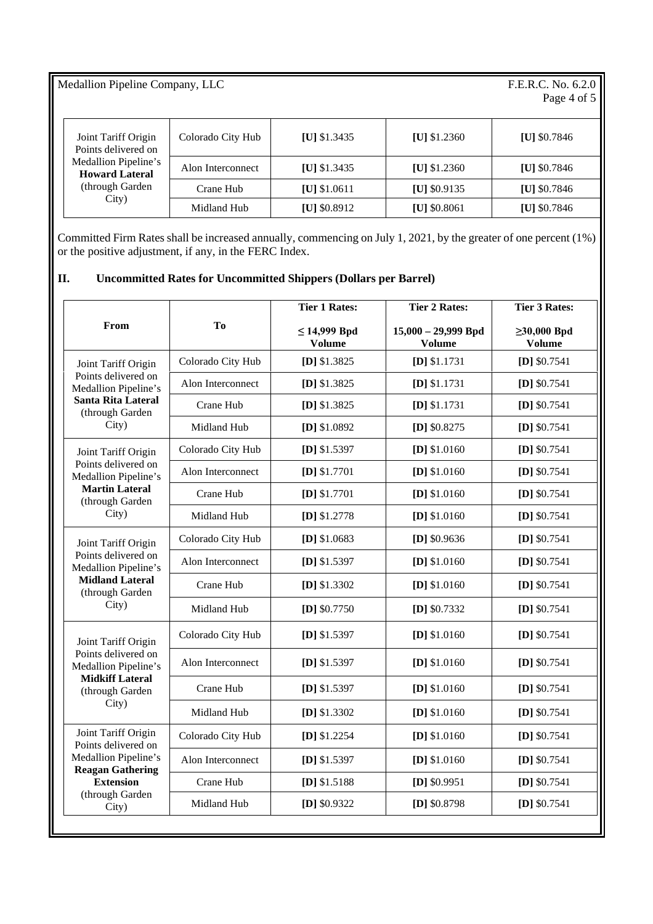### Medallion Pipeline Company, LLC

# F.E.R.C. No. 6.2.0<br>Page 4 of 5

| Joint Tariff Origin<br>Points delivered on<br>Medallion Pipeline's<br><b>Howard Lateral</b><br>(through Garden)<br>City) | Colorado City Hub | [U] $$1.3435$  | [U] $$1.2360$ | [U] $$0.7846$ |
|--------------------------------------------------------------------------------------------------------------------------|-------------------|----------------|---------------|---------------|
|                                                                                                                          | Alon Interconnect | [U] $$1.3435$  | [U] $$1.2360$ | [U] $$0.7846$ |
|                                                                                                                          | Crane Hub         | $[U]$ \$1.0611 | [U] $$0.9135$ | [U] $$0.7846$ |
|                                                                                                                          | Midland Hub       | [U] $$0.8912$  | [U] $$0.8061$ | [U] $$0.7846$ |

Committed Firm Rates shall be increased annually, commencing on July 1, 2021, by the greater of one percent (1%) or the positive adjustment, if any, in the FERC Index.

# **II. Uncommitted Rates for Uncommitted Shippers (Dollars per Barrel)**

| From                                                                                                                                          | To                | <b>Tier 1 Rates:</b>               | <b>Tier 2 Rates:</b>                   | <b>Tier 3 Rates:</b>               |
|-----------------------------------------------------------------------------------------------------------------------------------------------|-------------------|------------------------------------|----------------------------------------|------------------------------------|
|                                                                                                                                               |                   | $\leq$ 14,999 Bpd<br><b>Volume</b> | $15,000 - 29,999$ Bpd<br><b>Volume</b> | $\geq 30,000$ Bpd<br><b>Volume</b> |
| Joint Tariff Origin<br>Points delivered on<br>Medallion Pipeline's<br>Santa Rita Lateral<br>(through Garden<br>City)                          | Colorado City Hub | [D] $$1.3825$                      | $[D]$ \$1.1731                         | $[D]$ \$0.7541                     |
|                                                                                                                                               | Alon Interconnect | [D] \$1.3825                       | [D] \$1.1731                           | $[D]$ \$0.7541                     |
|                                                                                                                                               | Crane Hub         | [D] $$1.3825$                      | $[D]$ \$1.1731                         | $[D]$ \$0.7541                     |
|                                                                                                                                               | Midland Hub       | [D] \$1.0892                       | [D] $$0.8275$                          | $[D]$ \$0.7541                     |
| Joint Tariff Origin<br>Points delivered on<br>Medallion Pipeline's<br><b>Martin Lateral</b><br>(through Garden<br>City)                       | Colorado City Hub | [D] $$1.5397$                      | $[D]$ \$1.0160                         | $[D]$ \$0.7541                     |
|                                                                                                                                               | Alon Interconnect | [D] \$1.7701                       | $[D]$ \$1.0160                         | $[D]$ \$0.7541                     |
|                                                                                                                                               | Crane Hub         | $[D]$ \$1.7701                     | $[D]$ \$1.0160                         | [D] $$0.7541$                      |
|                                                                                                                                               | Midland Hub       | $[D]$ \$1.2778                     | $[D]$ \$1.0160                         | $[D]$ \$0.7541                     |
| Joint Tariff Origin                                                                                                                           | Colorado City Hub | [D] $$1.0683$                      | [D] $$0.9636$                          | $[D]$ \$0.7541                     |
| Points delivered on<br>Medallion Pipeline's<br><b>Midland Lateral</b><br>(through Garden<br>City)                                             | Alon Interconnect | [D] $$1.5397$                      | $[D]$ \$1.0160                         | $[D]$ \$0.7541                     |
|                                                                                                                                               | Crane Hub         | $[D]$ \$1.3302                     | $[D]$ \$1.0160                         | $[D]$ \$0.7541                     |
|                                                                                                                                               | Midland Hub       | $[D]$ \$0.7750                     | $[D]$ \$0.7332                         | $[D]$ \$0.7541                     |
| Joint Tariff Origin<br>Points delivered on<br>Medallion Pipeline's<br><b>Midkiff Lateral</b><br>(through Garden<br>City)                      | Colorado City Hub | [D] $$1.5397$                      | $[D]$ \$1.0160                         | [D] $$0.7541$                      |
|                                                                                                                                               | Alon Interconnect | [D] $$1.5397$                      | $[D]$ \$1.0160                         | $[D]$ \$0.7541                     |
|                                                                                                                                               | Crane Hub         | [D] $$1.5397$                      | $[D]$ \$1.0160                         | $[D]$ \$0.7541                     |
|                                                                                                                                               | Midland Hub       | $[D]$ \$1.3302                     | $[D]$ \$1.0160                         | $[D]$ \$0.7541                     |
| Joint Tariff Origin<br>Points delivered on<br>Medallion Pipeline's<br><b>Reagan Gathering</b><br><b>Extension</b><br>(through Garden<br>City) | Colorado City Hub | [D] $$1.2254$                      | $[D]$ \$1.0160                         | $[D]$ \$0.7541                     |
|                                                                                                                                               | Alon Interconnect | [D] $$1.5397$                      | $[D]$ \$1.0160                         | $[D]$ \$0.7541                     |
|                                                                                                                                               | Crane Hub         | [D] $$1.5188$                      | $[D]$ \$0.9951                         | $[D]$ \$0.7541                     |
|                                                                                                                                               | Midland Hub       | [D] \$0.9322                       | [D] \$0.8798                           | [D] $$0.7541$                      |